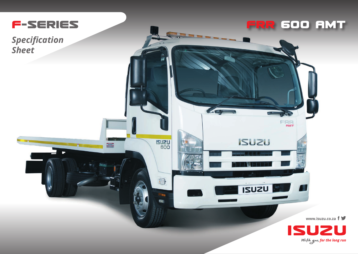